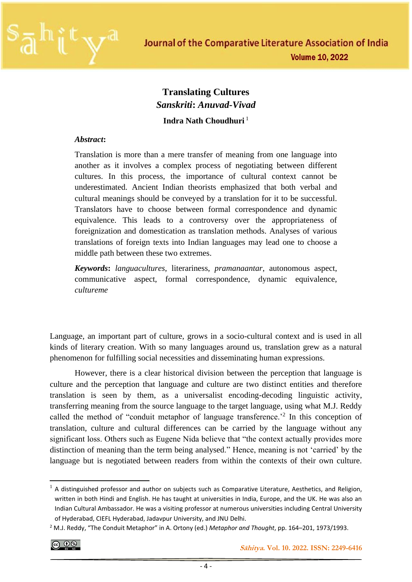

# **Translating Cultures** *Sanskriti***:** *Anuvad-Vivad* **Indra Nath Choudhuri** <sup>1</sup>

#### *Abstract***:**

Translation is more than a mere transfer of meaning from one language into another as it involves a complex process of negotiating between different cultures. In this process, the importance of cultural context cannot be underestimated. Ancient Indian theorists emphasized that both verbal and cultural meanings should be conveyed by a translation for it to be successful. Translators have to choose between formal correspondence and dynamic equivalence. This leads to a controversy over the appropriateness of foreignization and domestication as translation methods. Analyses of various translations of foreign texts into Indian languages may lead one to choose a middle path between these two extremes.

*Keywords***:** *languacultures*, literariness, *pramanaantar*, autonomous aspect, communicative aspect, formal correspondence, dynamic equivalence, *cultureme*

Language, an important part of culture, grows in a socio-cultural context and is used in all kinds of literary creation. With so many languages around us, translation grew as a natural phenomenon for fulfilling social necessities and disseminating human expressions.

However, there is a clear historical division between the perception that language is culture and the perception that language and culture are two distinct entities and therefore translation is seen by them, as a universalist encoding-decoding linguistic activity, transferring meaning from the source language to the target language, using what M.J. Reddy called the method of "conduit metaphor of language transference.<sup>22</sup> In this conception of translation, culture and cultural differences can be carried by the language without any significant loss. Others such as Eugene Nida believe that "the context actually provides more distinction of meaning than the term being analysed." Hence, meaning is not 'carried' by the language but is negotiated between readers from within the contexts of their own culture.

 $<sup>1</sup>$  A distinguished professor and author on subjects such as Comparative Literature, Aesthetics, and Religion,</sup> written in both Hindi and English. He has taught at universities in India, Europe, and the UK. He was also an Indian Cultural Ambassador. He was a visiting professor at numerous universities including Central University of Hyderabad, CIEFL Hyderabad, Jadavpur University, and JNU Delhi.

<sup>2</sup> M.J. Reddy, "The Conduit Metaphor" in A. Ortony (ed.) *Metaphor and Thought*, pp. 164–201, 1973/1993.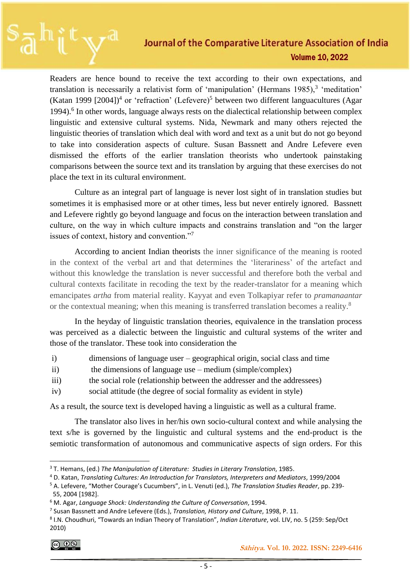Readers are hence bound to receive the text according to their own expectations, and translation is necessarily a relativist form of 'manipulation' (Hermans  $1985$ ),<sup>3</sup> 'meditation' (Katan 1999 [2004])<sup>4</sup> or 'refraction' (Lefevere)<sup>5</sup> between two different languacultures (Agar 1994).<sup>6</sup> In other words, language always rests on the dialectical relationship between complex linguistic and extensive cultural systems. Nida, Newmark and many others rejected the linguistic theories of translation which deal with word and text as a unit but do not go beyond to take into consideration aspects of culture. Susan Bassnett and Andre Lefevere even dismissed the efforts of the earlier translation theorists who undertook painstaking comparisons between the source text and its translation by arguing that these exercises do not place the text in its cultural environment.

Culture as an integral part of language is never lost sight of in translation studies but sometimes it is emphasised more or at other times, less but never entirely ignored. Bassnett and Lefevere rightly go beyond language and focus on the interaction between translation and culture, on the way in which culture impacts and constrains translation and "on the larger issues of context, history and convention."<sup>7</sup>

According to ancient Indian theorists the inner significance of the meaning is rooted in the context of the verbal art and that determines the 'literariness' of the artefact and without this knowledge the translation is never successful and therefore both the verbal and cultural contexts facilitate in recoding the text by the reader-translator for a meaning which emancipates *artha* from material reality. Kayyat and even Tolkapiyar refer to *pramanaantar* or the contextual meaning; when this meaning is transferred translation becomes a reality.<sup>8</sup>

In the heyday of linguistic translation theories, equivalence in the translation process was perceived as a dialectic between the linguistic and cultural systems of the writer and those of the translator. These took into consideration the

- i) dimensions of language user geographical origin, social class and time
- ii) the dimensions of language use medium (simple/complex)
- iii) the social role (relationship between the addresser and the addressees)
- iv) social attitude (the degree of social formality as evident in style)

As a result, the source text is developed having a linguistic as well as a cultural frame.

The translator also lives in her/his own socio-cultural context and while analysing the text s/he is governed by the linguistic and cultural systems and the end-product is the semiotic transformation of autonomous and communicative aspects of sign orders. For this

<sup>3</sup> T. Hemans, (ed.) *The Manipulation of Literature: Studies in Literary Translation*, 1985.

<sup>4</sup> D. Katan, *Translating Cultures: An Introduction for Translators, Interpreters and Mediators*, 1999/2004

<sup>5</sup> A. Lefevere, "Mother Courage's Cucumbers", in L. Venuti (ed.), *The Translation Studies Reader*, pp. 239- 55, 2004 [1982].

<sup>6</sup> M. Agar, *Language Shock: Understanding the Culture of Conversation*, 1994.

<sup>7</sup> Susan Bassnett and Andre Lefevere (Eds.), *Translation, History and Culture*, 1998, P. 11.

<sup>8</sup> I.N. Choudhuri, "Towards an Indian Theory of Translation", *Indian Literature*, vol. LIV, no. 5 (259: Sep/Oct 2010)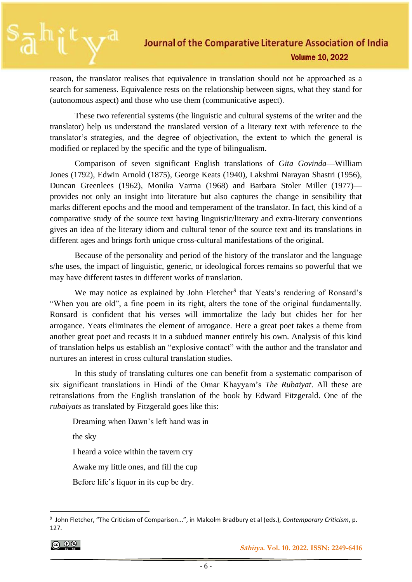reason, the translator realises that equivalence in translation should not be approached as a search for sameness. Equivalence rests on the relationship between signs, what they stand for (autonomous aspect) and those who use them (communicative aspect).

These two referential systems (the linguistic and cultural systems of the writer and the translator) help us understand the translated version of a literary text with reference to the translator's strategies, and the degree of objectivation, the extent to which the general is modified or replaced by the specific and the type of bilingualism.

Comparison of seven significant English translations of *Gita Govinda*—William Jones (1792), Edwin Arnold (1875), George Keats (1940), Lakshmi Narayan Shastri (1956), Duncan Greenlees (1962), Monika Varma (1968) and Barbara Stoler Miller (1977) provides not only an insight into literature but also captures the change in sensibility that marks different epochs and the mood and temperament of the translator. In fact, this kind of a comparative study of the source text having linguistic/literary and extra-literary conventions gives an idea of the literary idiom and cultural tenor of the source text and its translations in different ages and brings forth unique cross-cultural manifestations of the original.

Because of the personality and period of the history of the translator and the language s/he uses, the impact of linguistic, generic, or ideological forces remains so powerful that we may have different tastes in different works of translation.

We may notice as explained by John Fletcher<sup>9</sup> that Yeats's rendering of Ronsard's "When you are old", a fine poem in its right, alters the tone of the original fundamentally. Ronsard is confident that his verses will immortalize the lady but chides her for her arrogance. Yeats eliminates the element of arrogance. Here a great poet takes a theme from another great poet and recasts it in a subdued manner entirely his own. Analysis of this kind of translation helps us establish an "explosive contact" with the author and the translator and nurtures an interest in cross cultural translation studies.

In this study of translating cultures one can benefit from a systematic comparison of six significant translations in Hindi of the Omar Khayyam's *The Rubaiyat*. All these are retranslations from the English translation of the book by Edward Fitzgerald. One of the *rubaiyats* as translated by Fitzgerald goes like this:

Dreaming when Dawn's left hand was in

the sky

I heard a voice within the tavern cry

Awake my little ones, and fill the cup

Before life's liquor in its cup be dry.

|ര ⊕⊚

 **Sāhitya. Vol. 10. 2022. ISSN: 2249-6416**

<sup>9</sup> John Fletcher, "The Criticism of Comparison...", in Malcolm Bradbury et al (eds.), *Contemporary Criticism*, p. 127.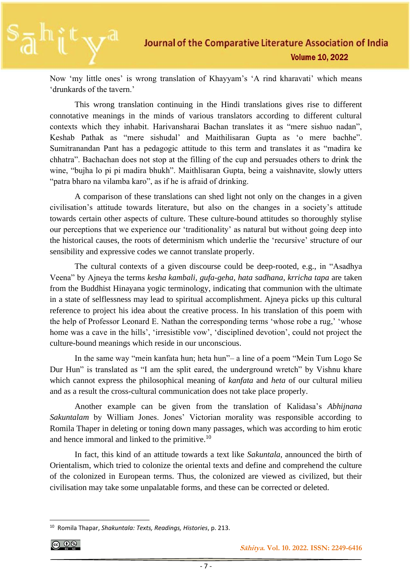Now 'my little ones' is wrong translation of Khayyam's 'A rind kharavati' which means 'drunkards of the tavern.'

This wrong translation continuing in the Hindi translations gives rise to different connotative meanings in the minds of various translators according to different cultural contexts which they inhabit. Harivansharai Bachan translates it as "mere sishuo nadan", Keshab Pathak as "mere sishudal' and Maithilisaran Gupta as 'o mere bachhe". Sumitranandan Pant has a pedagogic attitude to this term and translates it as "madira ke chhatra". Bachachan does not stop at the filling of the cup and persuades others to drink the wine, "bujha lo pi pi madira bhukh". Maithlisaran Gupta, being a vaishnavite, slowly utters "patra bharo na vilamba karo", as if he is afraid of drinking.

A comparison of these translations can shed light not only on the changes in a given civilisation's attitude towards literature, but also on the changes in a society's attitude towards certain other aspects of culture. These culture-bound attitudes so thoroughly stylise our perceptions that we experience our 'traditionality' as natural but without going deep into the historical causes, the roots of determinism which underlie the 'recursive' structure of our sensibility and expressive codes we cannot translate properly.

The cultural contexts of a given discourse could be deep-rooted, e.g., in "Asadhya Veena" by Ajneya the terms *kesha kambali, gufa-geha, hata sadhana, krricha tapa* are taken from the Buddhist Hinayana yogic terminology, indicating that communion with the ultimate in a state of selflessness may lead to spiritual accomplishment. Ajneya picks up this cultural reference to project his idea about the creative process. In his translation of this poem with the help of Professor Leonard E. Nathan the corresponding terms 'whose robe a rug,' 'whose home was a cave in the hills', 'irresistible vow', 'disciplined devotion', could not project the culture-bound meanings which reside in our unconscious.

In the same way "mein kanfata hun; heta hun"– a line of a poem "Mein Tum Logo Se Dur Hun" is translated as "I am the split eared, the underground wretch" by Vishnu khare which cannot express the philosophical meaning of *kanfata* and *heta* of our cultural milieu and as a result the cross-cultural communication does not take place properly.

Another example can be given from the translation of Kalidasa's *Abhijnana Sakuntalam* by William Jones. Jones' Victorian morality was responsible according to Romila Thaper in deleting or toning down many passages, which was according to him erotic and hence immoral and linked to the primitive.<sup>10</sup>

In fact, this kind of an attitude towards a text like *Sakuntala*, announced the birth of Orientalism, which tried to colonize the oriental texts and define and comprehend the culture of the colonized in European terms. Thus, the colonized are viewed as civilized, but their civilisation may take some unpalatable forms, and these can be corrected or deleted.

<sup>10</sup> Romila Thapar, *Shakuntala: Texts, Readings, Histories*, p. 213.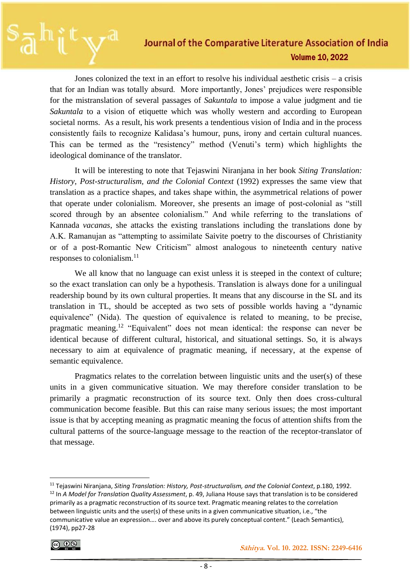Jones colonized the text in an effort to resolve his individual aesthetic crisis – a crisis that for an Indian was totally absurd. More importantly, Jones' prejudices were responsible for the mistranslation of several passages of *Sakuntala* to impose a value judgment and tie *Sakuntala* to a vision of etiquette which was wholly western and according to European societal norms. As a result, his work presents a tendentious vision of India and in the process consistently fails to recognize Kalidasa's humour, puns, irony and certain cultural nuances. This can be termed as the "resistency" method (Venuti's term) which highlights the ideological dominance of the translator.

It will be interesting to note that Tejaswini Niranjana in her book *Siting Translation: History, Post-structuralism, and the Colonial Context* (1992) expresses the same view that translation as a practice shapes, and takes shape within, the asymmetrical relations of power that operate under colonialism. Moreover, she presents an image of post-colonial as "still scored through by an absentee colonialism." And while referring to the translations of Kannada *vacanas*, she attacks the existing translations including the translations done by A.K. Ramanujan as "attempting to assimilate Saivite poetry to the discourses of Christianity or of a post-Romantic New Criticism" almost analogous to nineteenth century native responses to colonialism. $^{11}$ 

We all know that no language can exist unless it is steeped in the context of culture; so the exact translation can only be a hypothesis. Translation is always done for a unilingual readership bound by its own cultural properties. It means that any discourse in the SL and its translation in TL, should be accepted as two sets of possible worlds having a "dynamic equivalence" (Nida). The question of equivalence is related to meaning, to be precise, pragmatic meaning.<sup>12</sup> "Equivalent" does not mean identical: the response can never be identical because of different cultural, historical, and situational settings. So, it is always necessary to aim at equivalence of pragmatic meaning, if necessary, at the expense of semantic equivalence.

Pragmatics relates to the correlation between linguistic units and the user(s) of these units in a given communicative situation. We may therefore consider translation to be primarily a pragmatic reconstruction of its source text. Only then does cross-cultural communication become feasible. But this can raise many serious issues; the most important issue is that by accepting meaning as pragmatic meaning the focus of attention shifts from the cultural patterns of the source-language message to the reaction of the receptor-translator of that message.

<sup>11</sup> Tejaswini Niranjana, *Siting Translation: History, Post-structuralism, and the Colonial Context*, p.180, 1992. <sup>12</sup> In *A Model for Translation Quality Assessment*, p. 49, Juliana House says that translation is to be considered primarily as a pragmatic reconstruction of its source text. Pragmatic meaning relates to the correlation between linguistic units and the user(s) of these units in a given communicative situation, i.e., "the communicative value an expression…. over and above its purely conceptual content." (Leach Semantics), (1974), pp27-28

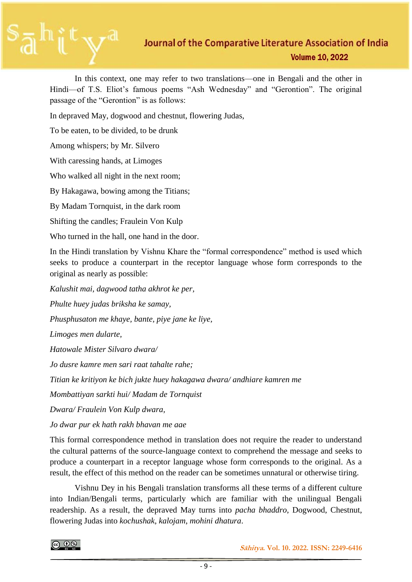In this context, one may refer to two translations—one in Bengali and the other in Hindi—of T.S. Eliot's famous poems "Ash Wednesday" and "Gerontion". The original passage of the "Gerontion" is as follows:

In depraved May, dogwood and chestnut, flowering Judas,

To be eaten, to be divided, to be drunk

Among whispers; by Mr. Silvero

With caressing hands, at Limoges

Who walked all night in the next room;

By Hakagawa, bowing among the Titians;

By Madam Tornquist, in the dark room

Shifting the candles; Fraulein Von Kulp

Who turned in the hall, one hand in the door.

In the Hindi translation by Vishnu Khare the "formal correspondence" method is used which seeks to produce a counterpart in the receptor language whose form corresponds to the original as nearly as possible:

*Kalushit mai, dagwood tatha akhrot ke per,*

*Phulte huey judas briksha ke samay,*

*Phusphusaton me khaye, bante, piye jane ke liye,*

*Limoges men dularte,*

*Hatowale Mister Silvaro dwara/*

*Jo dusre kamre men sari raat tahalte rahe;*

*Titian ke kritiyon ke bich jukte huey hakagawa dwara/ andhiare kamren me*

*Mombattiyan sarkti hui/ Madam de Tornquist*

*Dwara/ Fraulein Von Kulp dwara,*

*Jo dwar pur ek hath rakh bhavan me aae*

This formal correspondence method in translation does not require the reader to understand the cultural patterns of the source-language context to comprehend the message and seeks to produce a counterpart in a receptor language whose form corresponds to the original. As a result, the effect of this method on the reader can be sometimes unnatural or otherwise tiring.

Vishnu Dey in his Bengali translation transforms all these terms of a different culture into Indian/Bengali terms, particularly which are familiar with the unilingual Bengali readership. As a result, the depraved May turns into *pacha bhaddro*, Dogwood, Chestnut, flowering Judas into *kochushak*, *kalojam*, *mohini dhatura*.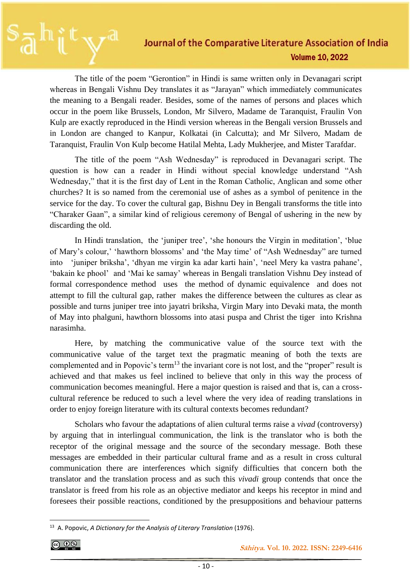The title of the poem "Gerontion" in Hindi is same written only in Devanagari script whereas in Bengali Vishnu Dey translates it as "Jarayan" which immediately communicates the meaning to a Bengali reader. Besides, some of the names of persons and places which occur in the poem like Brussels, London, Mr Silvero, Madame de Taranquist, Fraulin Von Kulp are exactly reproduced in the Hindi version whereas in the Bengali version Brussels and in London are changed to Kanpur, Kolkatai (in Calcutta); and Mr Silvero, Madam de Taranquist, Fraulin Von Kulp become Hatilal Mehta, Lady Mukherjee, and Mister Tarafdar.

The title of the poem "Ash Wednesday" is reproduced in Devanagari script. The question is how can a reader in Hindi without special knowledge understand "Ash Wednesday," that it is the first day of Lent in the Roman Catholic, Anglican and some other churches? It is so named from the ceremonial use of ashes as a symbol of penitence in the service for the day. To cover the cultural gap, Bishnu Dey in Bengali transforms the title into "Charaker Gaan", a similar kind of religious ceremony of Bengal of ushering in the new by discarding the old.

In Hindi translation, the 'juniper tree', 'she honours the Virgin in meditation', 'blue of Mary's colour,' 'hawthorn blossoms' and 'the May time' of "Ash Wednesday" are turned into 'juniper briksha', 'dhyan me virgin ka adar karti hain', 'neel Mery ka vastra pahane', 'bakain ke phool' and 'Mai ke samay' whereas in Bengali translation Vishnu Dey instead of formal correspondence method uses the method of dynamic equivalence and does not attempt to fill the cultural gap, rather makes the difference between the cultures as clear as possible and turns juniper tree into jayatri briksha, Virgin Mary into Devaki mata, the month of May into phalguni, hawthorn blossoms into atasi puspa and Christ the tiger into Krishna narasimha.

Here, by matching the communicative value of the source text with the communicative value of the target text the pragmatic meaning of both the texts are complemented and in Popovic's term<sup>13</sup> the invariant core is not lost, and the "proper" result is achieved and that makes us feel inclined to believe that only in this way the process of communication becomes meaningful. Here a major question is raised and that is, can a crosscultural reference be reduced to such a level where the very idea of reading translations in order to enjoy foreign literature with its cultural contexts becomes redundant?

Scholars who favour the adaptations of alien cultural terms raise a *vivad* (controversy) by arguing that in interlingual communication, the link is the translator who is both the receptor of the original message and the source of the secondary message. Both these messages are embedded in their particular cultural frame and as a result in cross cultural communication there are interferences which signify difficulties that concern both the translator and the translation process and as such this *vivadi* group contends that once the translator is freed from his role as an objective mediator and keeps his receptor in mind and foresees their possible reactions, conditioned by the presuppositions and behaviour patterns

<sup>13</sup> A. Popovic, *A Dictionary for the Analysis of Literary Translation* (1976).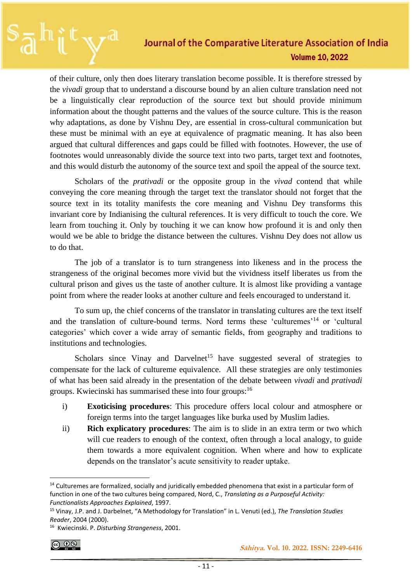of their culture, only then does literary translation become possible. It is therefore stressed by the *vivadi* group that to understand a discourse bound by an alien culture translation need not be a linguistically clear reproduction of the source text but should provide minimum information about the thought patterns and the values of the source culture. This is the reason why adaptations, as done by Vishnu Dey, are essential in cross-cultural communication but these must be minimal with an eye at equivalence of pragmatic meaning. It has also been argued that cultural differences and gaps could be filled with footnotes. However, the use of footnotes would unreasonably divide the source text into two parts, target text and footnotes, and this would disturb the autonomy of the source text and spoil the appeal of the source text.

Scholars of the *prativadi* or the opposite group in the *vivad* contend that while conveying the core meaning through the target text the translator should not forget that the source text in its totality manifests the core meaning and Vishnu Dey transforms this invariant core by Indianising the cultural references. It is very difficult to touch the core. We learn from touching it. Only by touching it we can know how profound it is and only then would we be able to bridge the distance between the cultures. Vishnu Dey does not allow us to do that.

The job of a translator is to turn strangeness into likeness and in the process the strangeness of the original becomes more vivid but the vividness itself liberates us from the cultural prison and gives us the taste of another culture. It is almost like providing a vantage point from where the reader looks at another culture and feels encouraged to understand it.

To sum up, the chief concerns of the translator in translating cultures are the text itself and the translation of culture-bound terms. Nord terms these 'culturemes'<sup>14</sup> or 'cultural categories' which cover a wide array of semantic fields, from geography and traditions to institutions and technologies.

Scholars since Vinay and Darvelnet<sup>15</sup> have suggested several of strategies to compensate for the lack of cultureme equivalence. All these strategies are only testimonies of what has been said already in the presentation of the debate between *vivadi* and *prativadi* groups. Kwiecinski has summarised these into four groups:<sup>16</sup>

- i) **Exoticising procedures**: This procedure offers local colour and atmosphere or foreign terms into the target languages like burka used by Muslim ladies.
- ii) **Rich explicatory procedures**: The aim is to slide in an extra term or two which will cue readers to enough of the context, often through a local analogy, to guide them towards a more equivalent cognition. When where and how to explicate depends on the translator's acute sensitivity to reader uptake.

 $\overline{6000}$ 

<sup>&</sup>lt;sup>14</sup> Culturemes are formalized, socially and juridically embedded phenomena that exist in a particular form of function in one of the two cultures being compared, Nord, C., *Translating as a Purposeful Activity: Functionalists Approaches Explained*, 1997.

<sup>15</sup> Vinay, J.P. and J. Darbelnet, "A Methodology for Translation" in L. Venuti (ed.), *The Translation Studies Reader*, 2004 (2000).

<sup>16</sup> Kwiecinski. P. *Disturbing Strangeness*, 2001.